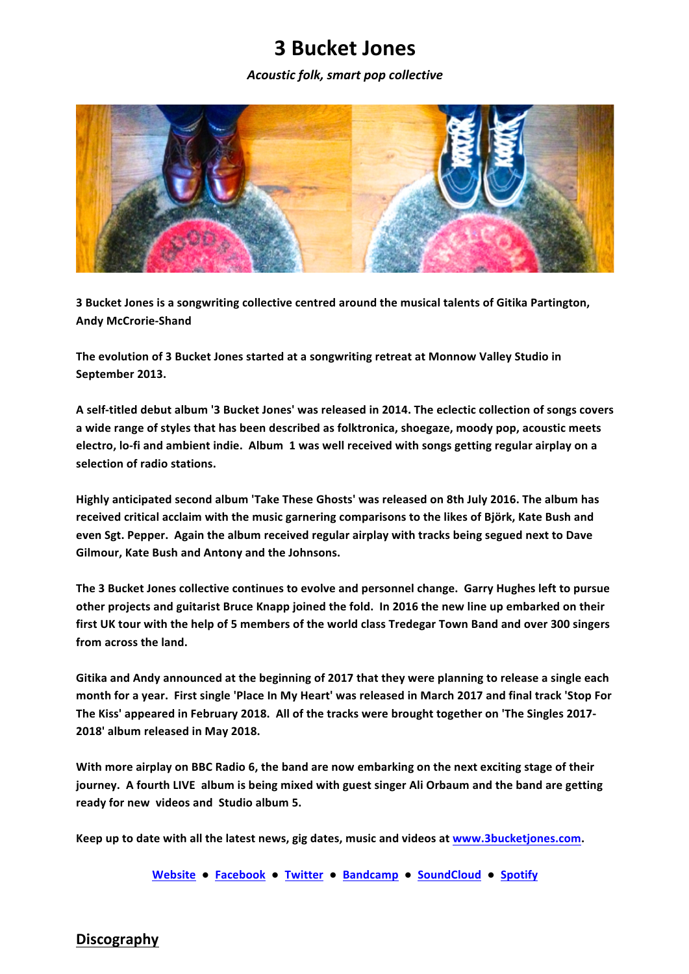# **3 Bucket Jones**

*Acoustic folk, smart pop collective*



**3** Bucket Jones is a songwriting collective centred around the musical talents of Gitika Partington, **Andy McCrorie-Shand**

The evolution of 3 Bucket Jones started at a songwriting retreat at Monnow Valley Studio in September 2013.

A self-titled debut album '3 Bucket Jones' was released in 2014. The eclectic collection of songs covers a wide range of styles that has been described as folktronica, shoegaze, moody pop, acoustic meets **electro, lo-fi and ambient indie. Album 1 was well received with songs getting regular airplay on a selection of radio stations.**

Highly anticipated second album 'Take These Ghosts' was released on 8th July 2016. The album has received critical acclaim with the music garnering comparisons to the likes of Björk, Kate Bush and even Sgt. Pepper. Again the album received regular airplay with tracks being segued next to Dave Gilmour, Kate Bush and Antony and the Johnsons.

The 3 Bucket Jones collective continues to evolve and personnel change. Garry Hughes left to pursue other projects and guitarist Bruce Knapp joined the fold. In 2016 the new line up embarked on their first UK tour with the help of 5 members of the world class Tredegar Town Band and over 300 singers from across the land.

Gitika and Andy announced at the beginning of 2017 that they were planning to release a single each month for a year. First single 'Place In My Heart' was released in March 2017 and final track 'Stop For The Kiss' appeared in February 2018. All of the tracks were brought together on 'The Singles 2017-**2018' album released in May 2018.**

With more airplay on BBC Radio 6, the band are now embarking on the next exciting stage of their **journey.** A fourth LIVE album is being mixed with guest singer Ali Orbaum and the band are getting ready for new videos and Studio album 5.

Keep up to date with all the latest news, gig dates, music and videos at www.3bucketjones.com.

Website . Facebook . Twitter . Bandcamp . SoundCloud . Spotify

#### **Discography**